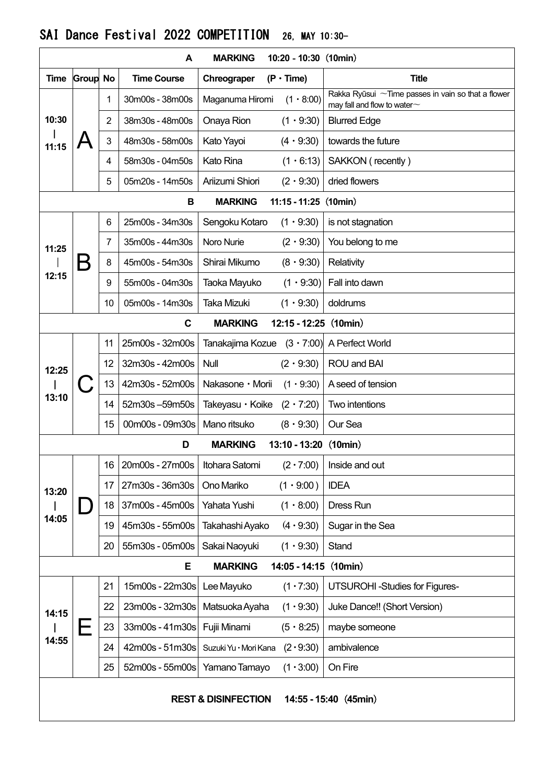|                                                           |                 |    | A                  | <b>MARKING</b>        | $10:20 - 10:30$ (10min) |                                                                                               |  |  |  |  |  |  |
|-----------------------------------------------------------|-----------------|----|--------------------|-----------------------|-------------------------|-----------------------------------------------------------------------------------------------|--|--|--|--|--|--|
| Time                                                      | <b>Group No</b> |    | <b>Time Course</b> | Chreograper           | $(P \cdot Time)$        | <b>Title</b>                                                                                  |  |  |  |  |  |  |
| 10:30<br>11:15                                            |                 | 1  | 30m00s - 38m00s    | Maganuma Hiromi       | $(1 \cdot 8:00)$        | Rakka Ryūsui $\sim$ Time passes in vain so that a flower<br>may fall and flow to water $\sim$ |  |  |  |  |  |  |
|                                                           |                 | 2  | 38m30s - 48m00s    | Onaya Rion            | $(1 \cdot 9:30)$        | <b>Blurred Edge</b>                                                                           |  |  |  |  |  |  |
|                                                           |                 | 3  | 48m30s - 58m00s    | Kato Yayoi            | $(4 \cdot 9:30)$        | towards the future                                                                            |  |  |  |  |  |  |
|                                                           |                 | 4  | 58m30s - 04m50s    | <b>Kato Rina</b>      | $(1 \cdot 6:13)$        | SAKKON (recently)                                                                             |  |  |  |  |  |  |
|                                                           |                 | 5  | 05m20s - 14m50s    | Ariizumi Shiori       | $(2 \cdot 9:30)$        | dried flowers                                                                                 |  |  |  |  |  |  |
| $11:15 - 11:25$ (10min)<br>В<br><b>MARKING</b>            |                 |    |                    |                       |                         |                                                                                               |  |  |  |  |  |  |
| 11:25<br>12:15                                            |                 | 6  | 25m00s - 34m30s    | Sengoku Kotaro        | $(1 \cdot 9:30)$        | is not stagnation                                                                             |  |  |  |  |  |  |
|                                                           |                 | 7  | 35m00s - 44m30s    | Noro Nurie            | $(2 \cdot 9:30)$        | You belong to me                                                                              |  |  |  |  |  |  |
|                                                           |                 | 8  | 45m00s - 54m30s    | Shirai Mikumo         | $(8 \cdot 9:30)$        | Relativity                                                                                    |  |  |  |  |  |  |
|                                                           |                 | 9  | 55m00s - 04m30s    | Taoka Mayuko          | $(1 \cdot 9:30)$        | Fall into dawn                                                                                |  |  |  |  |  |  |
|                                                           |                 | 10 | 05m00s - 14m30s    | Taka Mizuki           | $(1 \cdot 9:30)$        | doldrums                                                                                      |  |  |  |  |  |  |
| $\mathbf c$<br>$12:15 - 12:25$ (10min)<br><b>MARKING</b>  |                 |    |                    |                       |                         |                                                                                               |  |  |  |  |  |  |
|                                                           |                 | 11 | 25m00s - 32m00s    | Tanakajima Kozue      | $(3 \cdot 7:00)$        | A Perfect World                                                                               |  |  |  |  |  |  |
| 12:25                                                     |                 | 12 | 32m30s - 42m00s    | Null                  | $(2 \cdot 9:30)$        | ROU and BAI                                                                                   |  |  |  |  |  |  |
|                                                           |                 | 13 | 42m30s - 52m00s    | Nakasone · Morii      | $(1 \cdot 9:30)$        | A seed of tension                                                                             |  |  |  |  |  |  |
| 13:10                                                     |                 | 14 | 52m30s-59m50s      | Takeyasu • Koike      | $(2 \cdot 7:20)$        | Two intentions                                                                                |  |  |  |  |  |  |
|                                                           |                 | 15 | 00m00s - 09m30s    | Mano ritsuko          | $(8 \cdot 9:30)$        | Our Sea                                                                                       |  |  |  |  |  |  |
|                                                           |                 |    | D                  | 13:10 - 13:20 (10min) |                         |                                                                                               |  |  |  |  |  |  |
|                                                           |                 | 16 | 20m00s - 27m00s    | Itohara Satomi        |                         | $(2 \cdot 7:00)$ Inside and out                                                               |  |  |  |  |  |  |
| 13:20                                                     |                 | 17 | 27m30s - 36m30s    | Ono Mariko            | $(1 \cdot 9:00)$        | <b>IDEA</b>                                                                                   |  |  |  |  |  |  |
|                                                           |                 | 18 | 37m00s - 45m00s    | Yahata Yushi          | $(1 \cdot 8:00)$        | Dress Run                                                                                     |  |  |  |  |  |  |
| 14:05                                                     |                 | 19 | 45m30s - 55m00s    | Takahashi Ayako       | $(4 \cdot 9:30)$        | Sugar in the Sea                                                                              |  |  |  |  |  |  |
|                                                           |                 | 20 | 55m30s - 05m00s    | Sakai Naoyuki         | $(1 \cdot 9:30)$        | Stand                                                                                         |  |  |  |  |  |  |
|                                                           |                 |    | Е                  | <b>MARKING</b>        | $14:05 - 14:15$ (10min) |                                                                                               |  |  |  |  |  |  |
| 14:15<br>14:55                                            |                 | 21 | 15m00s - 22m30s    | Lee Mayuko            | $(1 \cdot 7:30)$        | <b>UTSUROHI-Studies for Figures-</b>                                                          |  |  |  |  |  |  |
|                                                           |                 | 22 | 23m00s - 32m30s    | Matsuoka Ayaha        | (1.9:30)                | Juke Dance!! (Short Version)                                                                  |  |  |  |  |  |  |
|                                                           |                 | 23 | 33m00s - 41m30s    | Fujii Minami          | $(5 \cdot 8:25)$        | maybe someone                                                                                 |  |  |  |  |  |  |
|                                                           |                 | 24 | 42m00s - 51m30s    | Suzuki Yu · Mori Kana | (2.9:30)                | ambivalence                                                                                   |  |  |  |  |  |  |
|                                                           |                 | 25 | 52m00s - 55m00s    | Yamano Tamayo         | $(1 \cdot 3:00)$        | On Fire                                                                                       |  |  |  |  |  |  |
| <b>REST &amp; DISINFECTION</b><br>$14:55 - 15:40$ (45min) |                 |    |                    |                       |                         |                                                                                               |  |  |  |  |  |  |

## SAI Dance Festival 2022 COMPETITION 26, MAY 10:30-